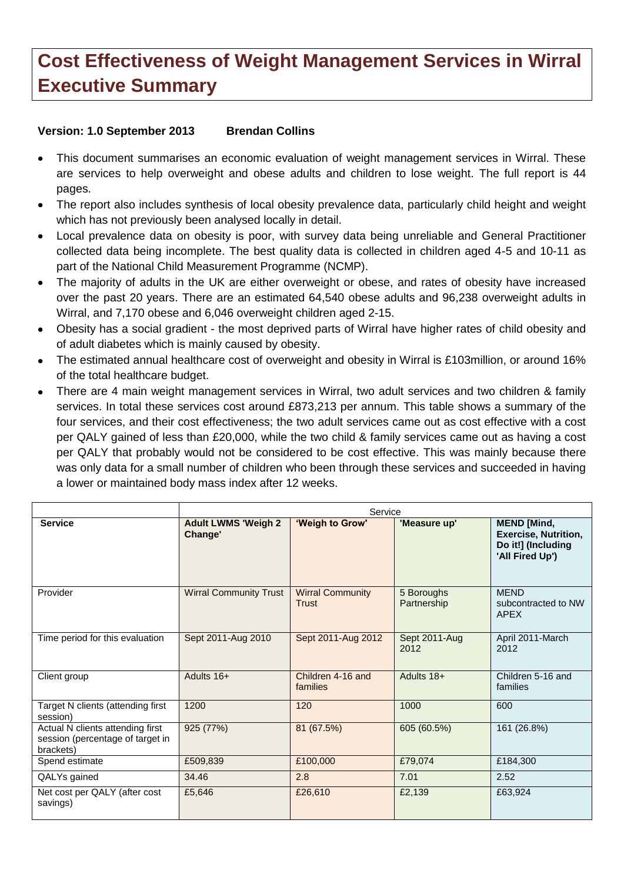## **Cost Effectiveness of Weight Management Services in Wirral Executive Summary**

## **Version: 1.0 September 2013 Brendan Collins**

- This document summarises an economic evaluation of weight management services in Wirral. These are services to help overweight and obese adults and children to lose weight. The full report is 44 pages.
- The report also includes synthesis of local obesity prevalence data, particularly child height and weight  $\bullet$ which has not previously been analysed locally in detail.
- Local prevalence data on obesity is poor, with survey data being unreliable and General Practitioner collected data being incomplete. The best quality data is collected in children aged 4-5 and 10-11 as part of the National Child Measurement Programme (NCMP).
- The majority of adults in the UK are either overweight or obese, and rates of obesity have increased over the past 20 years. There are an estimated 64,540 obese adults and 96,238 overweight adults in Wirral, and 7,170 obese and 6,046 overweight children aged 2-15.
- Obesity has a social gradient the most deprived parts of Wirral have higher rates of child obesity and of adult diabetes which is mainly caused by obesity.
- The estimated annual healthcare cost of overweight and obesity in Wirral is £103million, or around 16% of the total healthcare budget.
- There are 4 main weight management services in Wirral, two adult services and two children & family services. In total these services cost around £873,213 per annum. This table shows a summary of the four services, and their cost effectiveness; the two adult services came out as cost effective with a cost per QALY gained of less than £20,000, while the two child & family services came out as having a cost per QALY that probably would not be considered to be cost effective. This was mainly because there was only data for a small number of children who been through these services and succeeded in having a lower or maintained body mass index after 12 weeks.

|                                                                                   | Service                               |                                  |                           |                                                                                            |
|-----------------------------------------------------------------------------------|---------------------------------------|----------------------------------|---------------------------|--------------------------------------------------------------------------------------------|
| <b>Service</b>                                                                    | <b>Adult LWMS 'Weigh 2</b><br>Change' | 'Weigh to Grow'                  | 'Measure up'              | <b>MEND</b> [Mind,<br><b>Exercise, Nutrition,</b><br>Do it!] (Including<br>'All Fired Up') |
| Provider                                                                          | <b>Wirral Community Trust</b>         | <b>Wirral Community</b><br>Trust | 5 Boroughs<br>Partnership | <b>MEND</b><br>subcontracted to NW<br>APEX                                                 |
| Time period for this evaluation                                                   | Sept 2011-Aug 2010                    | Sept 2011-Aug 2012               | Sept 2011-Aug<br>2012     | April 2011-March<br>2012                                                                   |
| Client group                                                                      | Adults 16+                            | Children 4-16 and<br>families    | Adults 18+                | Children 5-16 and<br>families                                                              |
| Target N clients (attending first<br>session)                                     | 1200                                  | 120                              | 1000                      | 600                                                                                        |
| Actual N clients attending first<br>session (percentage of target in<br>brackets) | 925 (77%)                             | 81 (67.5%)                       | 605 (60.5%)               | 161 (26.8%)                                                                                |
| Spend estimate                                                                    | £509,839                              | £100,000                         | £79,074                   | £184,300                                                                                   |
| QALYs gained                                                                      | 34.46                                 | 2.8                              | 7.01                      | 2.52                                                                                       |
| Net cost per QALY (after cost<br>savings)                                         | £5,646                                | £26,610                          | £2,139                    | £63,924                                                                                    |